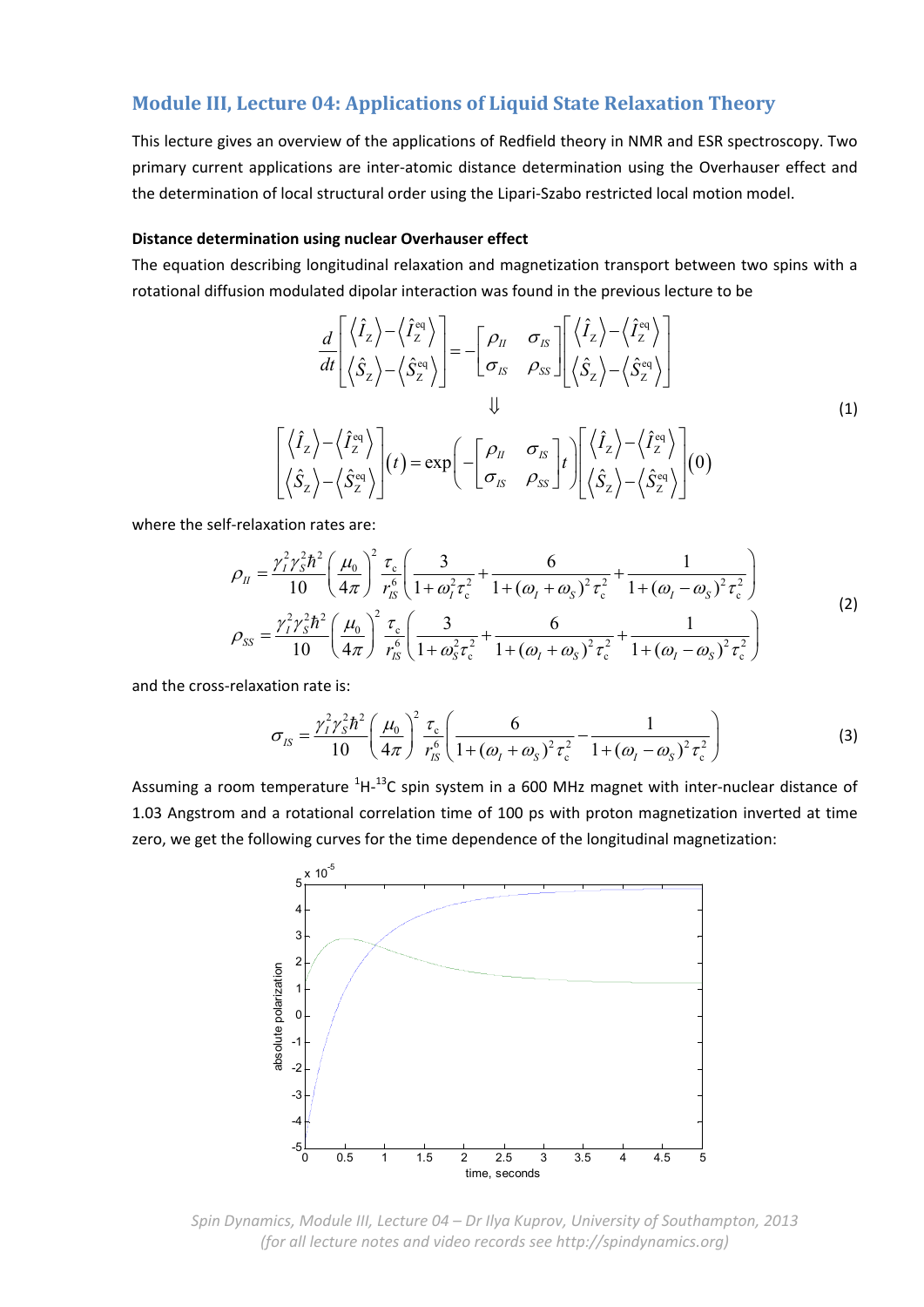## **Module III, Lecture 04: Applications of Liquid State Relaxation Theory**

This lecture gives an overview of the applications of Redfield theory in NMR and ESR spectroscopy. Two primary current applications are inter‐atomic distance determination using the Overhauser effect and the determination of local structural order using the Lipari‐Szabo restricted local motion model.

## **Distance determination using nuclear Overhauser effect**

The equation describing longitudinal relaxation and magnetization transport between two spins with a rotational diffusion modulated dipolar interaction was found in the previous lecture to be

$$
\frac{d}{dt} \begin{bmatrix} \langle \hat{I}_z \rangle - \langle \hat{I}_z^{\text{eq}} \rangle \\ \langle \hat{S}_z \rangle - \langle \hat{S}_z^{\text{eq}} \rangle \end{bmatrix} = - \begin{bmatrix} \rho_{II} & \sigma_{IS} \\ \sigma_{IS} & \rho_{SS} \end{bmatrix} \begin{bmatrix} \langle \hat{I}_z \rangle - \langle \hat{I}_z^{\text{eq}} \rangle \\ \langle \hat{S}_z \rangle - \langle \hat{S}_z^{\text{eq}} \rangle \end{bmatrix}
$$
\n
$$
\begin{bmatrix} \langle \hat{I}_z \rangle - \langle \hat{I}_z^{\text{eq}} \rangle \\ \langle \hat{S}_z \rangle - \langle \hat{S}_z^{\text{eq}} \rangle \end{bmatrix} (t) = \exp \left( - \begin{bmatrix} \rho_{II} & \sigma_{IS} \\ \sigma_{IS} & \rho_{SS} \end{bmatrix} t \right) \begin{bmatrix} \langle \hat{I}_z \rangle - \langle \hat{I}_z^{\text{eq}} \rangle \\ \langle \hat{S}_z \rangle - \langle \hat{S}_z^{\text{eq}} \rangle \end{bmatrix} (0)
$$
\n(1)

where the self-relaxation rates are:

$$
\rho_{II} = \frac{\gamma_I^2 \gamma_S^2 \hbar^2}{10} \left( \frac{\mu_0}{4\pi} \right)^2 \frac{\tau_c}{r_{IS}^6} \left( \frac{3}{1 + \omega_I^2 \tau_c^2} + \frac{6}{1 + (\omega_I + \omega_S)^2 \tau_c^2} + \frac{1}{1 + (\omega_I - \omega_S)^2 \tau_c^2} \right)
$$
\n
$$
\rho_{SS} = \frac{\gamma_I^2 \gamma_S^2 \hbar^2}{10} \left( \frac{\mu_0}{4\pi} \right)^2 \frac{\tau_c}{r_{IS}^6} \left( \frac{3}{1 + \omega_S^2 \tau_c^2} + \frac{6}{1 + (\omega_I + \omega_S)^2 \tau_c^2} + \frac{1}{1 + (\omega_I - \omega_S)^2 \tau_c^2} \right)
$$
\n(2)

and the cross‐relaxation rate is:

$$
\sigma_{IS} = \frac{\gamma_I^2 \gamma_S^2 \hbar^2}{10} \left( \frac{\mu_0}{4\pi} \right)^2 \frac{\tau_c}{r_{IS}^6} \left( \frac{6}{1 + (\omega_I + \omega_S)^2 \tau_c^2} - \frac{1}{1 + (\omega_I - \omega_S)^2 \tau_c^2} \right)
$$
(3)

Assuming a room temperature  ${}^{1}$ H- ${}^{13}$ C spin system in a 600 MHz magnet with inter-nuclear distance of 1.03 Angstrom and a rotational correlation time of 100 ps with proton magnetization inverted at time zero, we get the following curves for the time dependence of the longitudinal magnetization:



*Spin Dynamics, Module III, Lecture 04 – Dr Ilya Kuprov, University of Southampton, 2013 (for all lecture notes and video records see http://spindynamics.org)*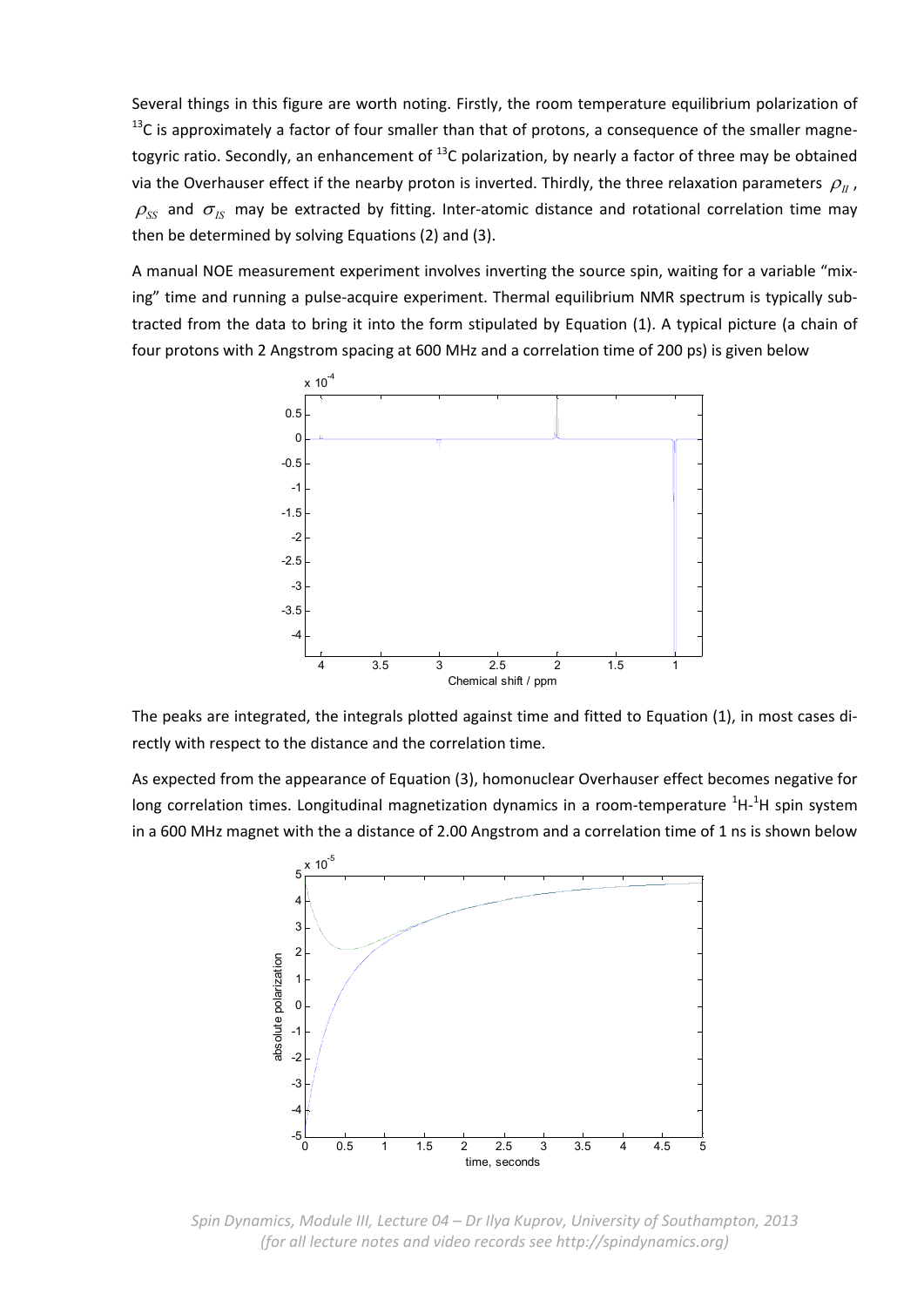Several things in this figure are worth noting. Firstly, the room temperature equilibrium polarization of  $^{13}$ C is approximately a factor of four smaller than that of protons, a consequence of the smaller magnetogyric ratio. Secondly, an enhancement of  $^{13}$ C polarization, by nearly a factor of three may be obtained via the Overhauser effect if the nearby proton is inverted. Thirdly, the three relaxation parameters  $\rho_n$ ,  $\rho_{SS}$  and  $\sigma_{IS}$  may be extracted by fitting. Inter-atomic distance and rotational correlation time may then be determined by solving Equations (2) and (3).

A manual NOE measurement experiment involves inverting the source spin, waiting for a variable "mix‐ ing" time and running a pulse-acquire experiment. Thermal equilibrium NMR spectrum is typically subtracted from the data to bring it into the form stipulated by Equation (1). A typical picture (a chain of four protons with 2 Angstrom spacing at 600 MHz and a correlation time of 200 ps) is given below



The peaks are integrated, the integrals plotted against time and fitted to Equation (1), in most cases di‐ rectly with respect to the distance and the correlation time.

As expected from the appearance of Equation (3), homonuclear Overhauser effect becomes negative for long correlation times. Longitudinal magnetization dynamics in a room-temperature <sup>1</sup>H-<sup>1</sup>H spin system in a 600 MHz magnet with the a distance of 2.00 Angstrom and a correlation time of 1 ns is shown below



*Spin Dynamics, Module III, Lecture 04 – Dr Ilya Kuprov, University of Southampton, 2013 (for all lecture notes and video records see http://spindynamics.org)*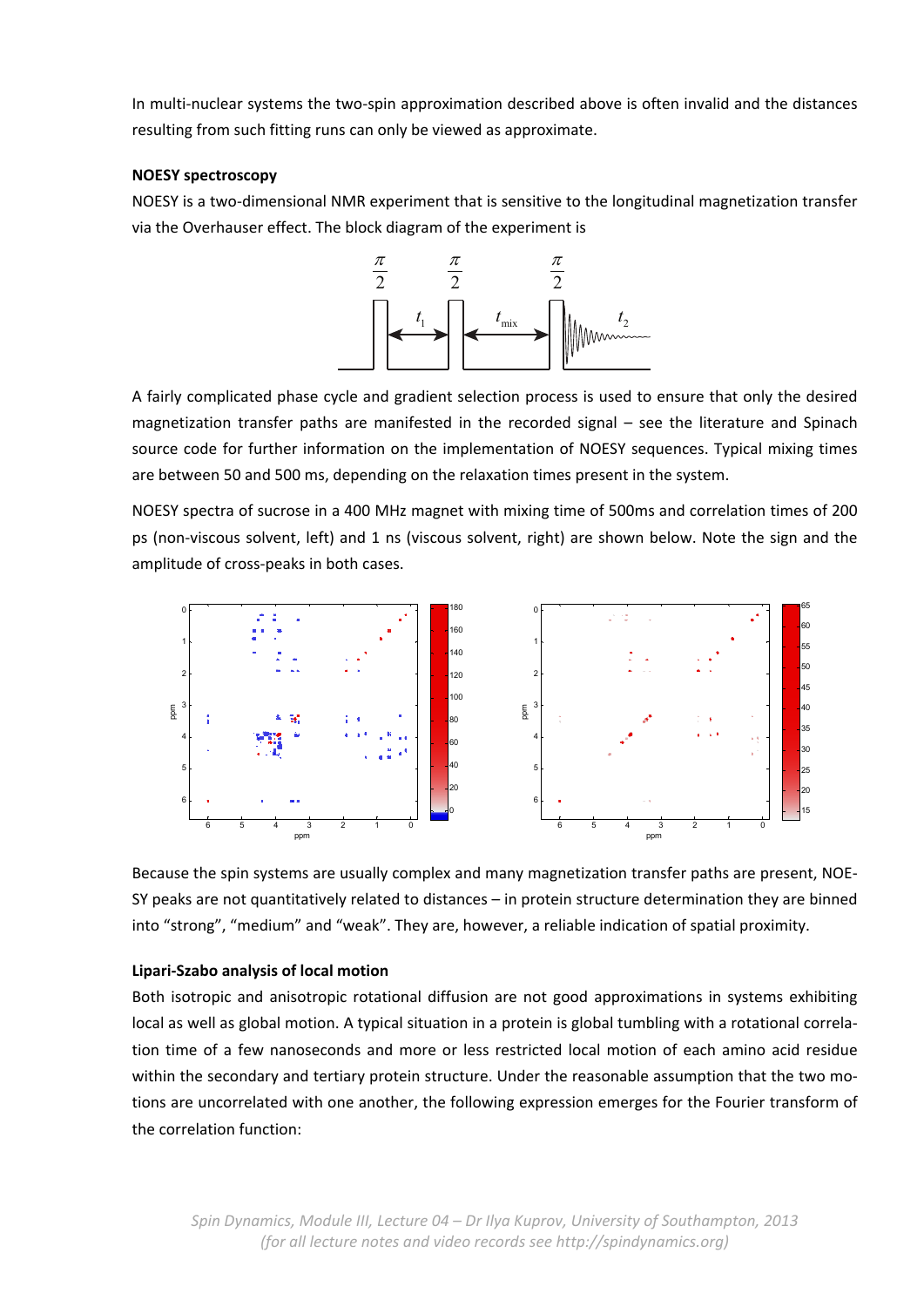In multi‐nuclear systems the two‐spin approximation described above is often invalid and the distances resulting from such fitting runs can only be viewed as approximate.

## **NOESY spectroscopy**

NOESY is a two‐dimensional NMR experiment that is sensitive to the longitudinal magnetization transfer via the Overhauser effect. The block diagram of the experiment is



A fairly complicated phase cycle and gradient selection process is used to ensure that only the desired magnetization transfer paths are manifested in the recorded signal – see the literature and Spinach source code for further information on the implementation of NOESY sequences. Typical mixing times are between 50 and 500 ms, depending on the relaxation times present in the system.

NOESY spectra of sucrose in a 400 MHz magnet with mixing time of 500ms and correlation times of 200 ps (non‐viscous solvent, left) and 1 ns (viscous solvent, right) are shown below. Note the sign and the amplitude of cross‐peaks in both cases.



Because the spin systems are usually complex and many magnetization transfer paths are present, NOE‐ SY peaks are not quantitatively related to distances – in protein structure determination they are binned into "strong", "medium" and "weak". They are, however, a reliable indication of spatial proximity.

## **Lipari‐Szabo analysis of local motion**

Both isotropic and anisotropic rotational diffusion are not good approximations in systems exhibiting local as well as global motion. A typical situation in a protein is global tumbling with a rotational correla‐ tion time of a few nanoseconds and more or less restricted local motion of each amino acid residue within the secondary and tertiary protein structure. Under the reasonable assumption that the two motions are uncorrelated with one another, the following expression emerges for the Fourier transform of the correlation function: